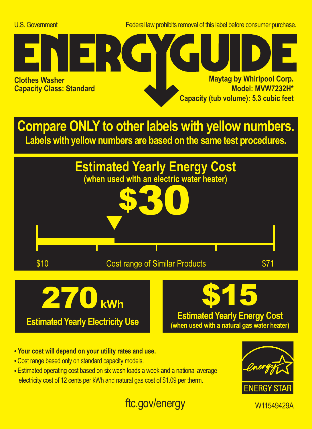U.S. Government Federal law prohibits removal of this label before consumer purchase.



**Compare ONLY to other labels with yellow numbers. Labels with yellow numbers are based on the same test procedures.**



**Estimated Yearly Electricity Use**

## **Estimated Yearly Energy Cost (when used with a natural gas water heater)**

- **Your cost will depend on your utility rates and use.**
- **•** Cost range based only on standard capacity models.
- **•** Estimated operating cost based on six wash loads a week and a national average electricity cost of 12 cents per kWh and natural gas cost of \$1.09 per therm.



## ftc.gov/energy W11549429A